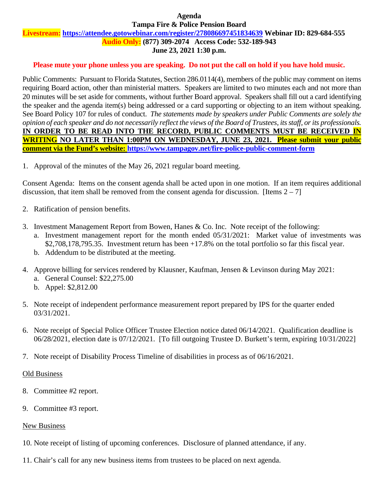#### **Agenda Tampa Fire & Police Pension Board**

#### **Livestream: <https://attendee.gotowebinar.com/register/278086697451834639> Webinar ID: 829-684-555 Audio Only: (877) 309-2074 Access Code: 532-189-943**

# **June 23, 2021 1:30 p.m.**

# **Please mute your phone unless you are speaking. Do not put the call on hold if you have hold music.**

Public Comments: Pursuant to Florida Statutes, Section 286.0114(4), members of the public may comment on items requiring Board action, other than ministerial matters. Speakers are limited to two minutes each and not more than 20 minutes will be set aside for comments, without further Board approval. Speakers shall fill out a card identifying the speaker and the agenda item(s) being addressed or a card supporting or objecting to an item without speaking. See Board Policy 107 for rules of conduct. *The statements made by speakers under Public Comments are solely the opinion of each speaker and do not necessarily reflect the views of the Board of Trustees, its staff, or its professionals.* **IN ORDER TO BE READ INTO THE RECORD, PUBLIC COMMENTS MUST BE RECEIVED IN WRITING NO LATER THAN 1:00PM ON WEDNESDAY, JUNE 23, 2021. Please submit your public comment via the Fund's website:<https://www.tampagov.net/fire-police-public-comment-form>**

1. Approval of the minutes of the May 26, 2021 regular board meeting.

Consent Agenda: Items on the consent agenda shall be acted upon in one motion. If an item requires additional discussion, that item shall be removed from the consent agenda for discussion. [Items  $2 - 7$ ]

- 2. Ratification of pension benefits.
- 3. Investment Management Report from Bowen, Hanes & Co. Inc. Note receipt of the following: a. Investment management report for the month ended 05/31/2021: Market value of investments was \$2,708,178,795.35. Investment return has been +17.8% on the total portfolio so far this fiscal year.
	- b. Addendum to be distributed at the meeting.
- 4. Approve billing for services rendered by Klausner, Kaufman, Jensen & Levinson during May 2021: a. General Counsel: \$22,275.00
	- b. Appel: \$2,812.00
- 5. Note receipt of independent performance measurement report prepared by IPS for the quarter ended 03/31/2021.
- 6. Note receipt of Special Police Officer Trustee Election notice dated 06/14/2021. Qualification deadline is 06/28/2021, election date is 07/12/2021. [To fill outgoing Trustee D. Burkett's term, expiring 10/31/2022]
- 7. Note receipt of Disability Process Timeline of disabilities in process as of 06/16/2021.

# Old Business

- 8. Committee #2 report.
- 9. Committee #3 report.

# New Business

- 10. Note receipt of listing of upcoming conferences. Disclosure of planned attendance, if any.
- 11. Chair's call for any new business items from trustees to be placed on next agenda.